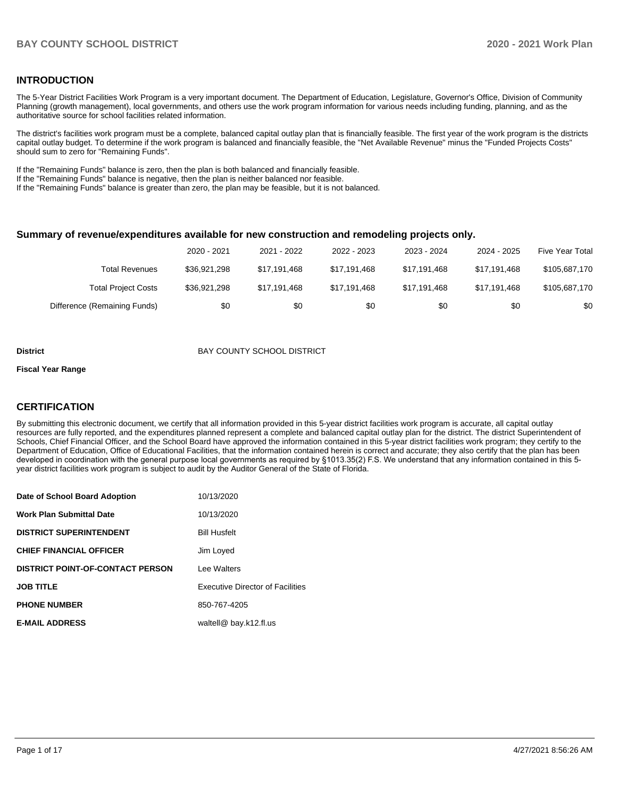#### **INTRODUCTION**

The 5-Year District Facilities Work Program is a very important document. The Department of Education, Legislature, Governor's Office, Division of Community Planning (growth management), local governments, and others use the work program information for various needs including funding, planning, and as the authoritative source for school facilities related information.

The district's facilities work program must be a complete, balanced capital outlay plan that is financially feasible. The first year of the work program is the districts capital outlay budget. To determine if the work program is balanced and financially feasible, the "Net Available Revenue" minus the "Funded Projects Costs" should sum to zero for "Remaining Funds".

If the "Remaining Funds" balance is zero, then the plan is both balanced and financially feasible.

If the "Remaining Funds" balance is negative, then the plan is neither balanced nor feasible.

If the "Remaining Funds" balance is greater than zero, the plan may be feasible, but it is not balanced.

#### **Summary of revenue/expenditures available for new construction and remodeling projects only.**

|                              | 2020 - 2021  | 2021 - 2022  | 2022 - 2023  | 2023 - 2024  | 2024 - 2025  | Five Year Total |
|------------------------------|--------------|--------------|--------------|--------------|--------------|-----------------|
| <b>Total Revenues</b>        | \$36.921.298 | \$17.191.468 | \$17.191.468 | \$17.191.468 | \$17.191.468 | \$105,687,170   |
| <b>Total Project Costs</b>   | \$36,921,298 | \$17.191.468 | \$17,191,468 | \$17,191,468 | \$17.191.468 | \$105,687,170   |
| Difference (Remaining Funds) | \$0          | \$0          | \$0          | \$0          | \$0          | \$0             |

#### **District District BAY COUNTY SCHOOL DISTRICT**

#### **Fiscal Year Range**

#### **CERTIFICATION**

By submitting this electronic document, we certify that all information provided in this 5-year district facilities work program is accurate, all capital outlay resources are fully reported, and the expenditures planned represent a complete and balanced capital outlay plan for the district. The district Superintendent of Schools, Chief Financial Officer, and the School Board have approved the information contained in this 5-year district facilities work program; they certify to the Department of Education, Office of Educational Facilities, that the information contained herein is correct and accurate; they also certify that the plan has been developed in coordination with the general purpose local governments as required by §1013.35(2) F.S. We understand that any information contained in this 5 year district facilities work program is subject to audit by the Auditor General of the State of Florida.

| Date of School Board Adoption           | 10/13/2020                              |
|-----------------------------------------|-----------------------------------------|
| <b>Work Plan Submittal Date</b>         | 10/13/2020                              |
| <b>DISTRICT SUPERINTENDENT</b>          | <b>Bill Husfelt</b>                     |
| <b>CHIEF FINANCIAL OFFICER</b>          | Jim Loyed                               |
| <b>DISTRICT POINT-OF-CONTACT PERSON</b> | Lee Walters                             |
| <b>JOB TITLE</b>                        | <b>Executive Director of Facilities</b> |
| <b>PHONE NUMBER</b>                     | 850-767-4205                            |
| <b>E-MAIL ADDRESS</b>                   | waltell@ bay.k12.fl.us                  |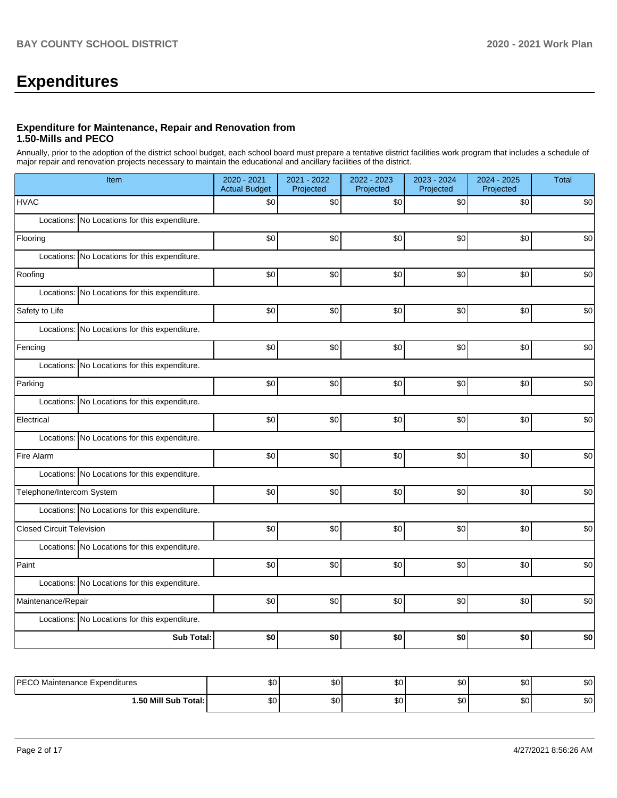# **Expenditures**

#### **Expenditure for Maintenance, Repair and Renovation from 1.50-Mills and PECO**

Annually, prior to the adoption of the district school budget, each school board must prepare a tentative district facilities work program that includes a schedule of major repair and renovation projects necessary to maintain the educational and ancillary facilities of the district.

| Item                                          | 2020 - 2021<br><b>Actual Budget</b> | 2021 - 2022<br>Projected | 2022 - 2023<br>Projected | 2023 - 2024<br>Projected | 2024 - 2025<br>Projected | Total |
|-----------------------------------------------|-------------------------------------|--------------------------|--------------------------|--------------------------|--------------------------|-------|
| <b>HVAC</b>                                   | \$0                                 | \$0                      | \$0                      | \$0                      | \$0                      | \$0   |
| Locations: No Locations for this expenditure. |                                     |                          |                          |                          |                          |       |
| Flooring                                      | \$0                                 | \$0                      | \$0                      | $$0$$                    | $$0$$                    | \$0   |
| Locations: No Locations for this expenditure. |                                     |                          |                          |                          |                          |       |
| Roofing                                       | \$0                                 | \$0                      | \$0                      | $$0$$                    | $$0$$                    | \$0   |
| Locations: No Locations for this expenditure. |                                     |                          |                          |                          |                          |       |
| Safety to Life                                | \$0                                 | \$0                      | \$0                      | \$0                      | \$0                      | \$0   |
| Locations: No Locations for this expenditure. |                                     |                          |                          |                          |                          |       |
| Fencing                                       | \$0                                 | \$0                      | \$0                      | \$0                      | \$0                      | \$0   |
| Locations: No Locations for this expenditure. |                                     |                          |                          |                          |                          |       |
| Parking                                       | \$0                                 | \$0                      | \$0                      | \$0                      | \$0                      | \$0   |
| Locations: No Locations for this expenditure. |                                     |                          |                          |                          |                          |       |
| Electrical                                    | \$0                                 | \$0                      | \$0                      | $$0$$                    | $$0$$                    | \$0   |
| Locations: No Locations for this expenditure. |                                     |                          |                          |                          |                          |       |
| Fire Alarm                                    | \$0                                 | \$0                      | \$0                      | $$0$$                    | \$0                      | \$0   |
| Locations: No Locations for this expenditure. |                                     |                          |                          |                          |                          |       |
| Telephone/Intercom System                     | \$0                                 | \$0                      | \$0                      | $$0$$                    | \$0                      | \$0   |
| Locations: No Locations for this expenditure. |                                     |                          |                          |                          |                          |       |
| <b>Closed Circuit Television</b>              | \$0                                 | \$0                      | \$0                      | $$0$$                    | \$0                      | \$0   |
| Locations: No Locations for this expenditure. |                                     |                          |                          |                          |                          |       |
| Paint                                         | \$0                                 | \$0                      | \$0                      | \$0                      | \$0                      | \$0   |
| Locations: No Locations for this expenditure. |                                     |                          |                          |                          |                          |       |
| Maintenance/Repair                            | \$0                                 | \$0                      | \$0                      | \$0                      | \$0                      | \$0   |
| Locations: No Locations for this expenditure. |                                     |                          |                          |                          |                          |       |
| <b>Sub Total:</b>                             | \$0                                 | \$0                      | \$0                      | \$0                      | \$0                      | \$0   |
|                                               |                                     |                          |                          |                          |                          |       |
| PECO Maintenance Expenditures                 | \$0                                 | \$0                      | \$0                      | \$0                      | \$0                      | \$0   |

| P<br>Maintenance Expenditures<br>◡ | ሶሳ<br>ΦU | ሖ      | ሶሳ<br>JU.  | ^^<br> | ሖ<br>æи   | $\sim$<br>ו שפ |
|------------------------------------|----------|--------|------------|--------|-----------|----------------|
| <b>1.50 Mill Sub Total:</b>        | \$0      | ሖ<br>w | ሶስ<br>JD U | ^^<br> | ሶስ<br>JU. | n o<br>ו שפ    |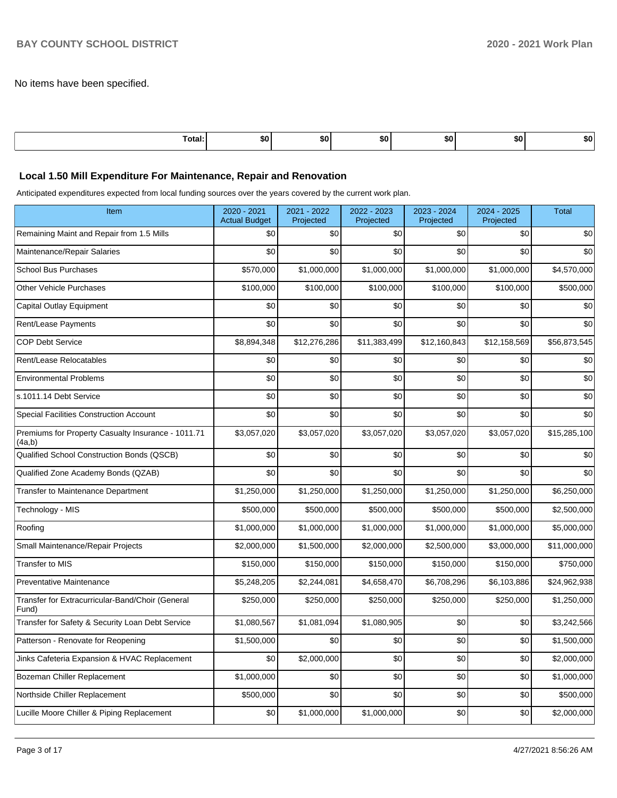No items have been specified.

| ота.<br>$\sim$ $\sim$ $\sim$ $\sim$ $\sim$ | ווא |  | 71. | 50 |  |
|--------------------------------------------|-----|--|-----|----|--|
|                                            |     |  |     |    |  |

#### **Local 1.50 Mill Expenditure For Maintenance, Repair and Renovation**

Anticipated expenditures expected from local funding sources over the years covered by the current work plan.

| Item                                                         | 2020 - 2021<br><b>Actual Budget</b> | 2021 - 2022<br>Projected | 2022 - 2023<br>Projected | 2023 - 2024<br>Projected | 2024 - 2025<br>Projected | <b>Total</b> |
|--------------------------------------------------------------|-------------------------------------|--------------------------|--------------------------|--------------------------|--------------------------|--------------|
| Remaining Maint and Repair from 1.5 Mills                    | \$0                                 | \$0                      | \$0                      | \$0                      | \$0                      | \$0          |
| Maintenance/Repair Salaries                                  | \$0                                 | \$0                      | \$0                      | \$0                      | \$0                      | \$0          |
| <b>School Bus Purchases</b>                                  | \$570,000                           | \$1,000,000              | \$1,000,000              | \$1,000,000              | \$1,000,000              | \$4,570,000  |
| <b>Other Vehicle Purchases</b>                               | \$100,000                           | \$100,000                | \$100,000                | \$100,000                | \$100,000                | \$500,000    |
| Capital Outlay Equipment                                     | \$0                                 | \$0                      | \$0                      | \$0                      | \$0                      | \$0          |
| <b>Rent/Lease Payments</b>                                   | \$0                                 | \$0                      | \$0                      | \$0                      | \$0                      | \$0          |
| <b>COP Debt Service</b>                                      | \$8,894,348                         | \$12,276,286             | \$11,383,499             | \$12,160,843             | \$12,158,569             | \$56,873,545 |
| Rent/Lease Relocatables                                      | \$0                                 | \$0                      | \$0                      | \$0                      | \$0                      | \$0          |
| <b>Environmental Problems</b>                                | \$0                                 | \$0                      | \$0                      | \$0                      | \$0                      | \$0          |
| s.1011.14 Debt Service                                       | \$0                                 | \$0                      | \$0                      | \$0                      | \$0                      | \$0          |
| <b>Special Facilities Construction Account</b>               | \$0                                 | \$0                      | \$0                      | \$0                      | \$0                      | \$0          |
| Premiums for Property Casualty Insurance - 1011.71<br>(4a,b) | \$3,057,020                         | \$3,057,020              | \$3,057,020              | \$3,057,020              | \$3,057,020              | \$15,285,100 |
| Qualified School Construction Bonds (QSCB)                   | \$0                                 | \$0                      | \$0                      | \$0                      | \$0                      | \$0          |
| Qualified Zone Academy Bonds (QZAB)                          | \$0                                 | \$0                      | \$0                      | \$0                      | \$0                      | \$0          |
| Transfer to Maintenance Department                           | \$1,250,000                         | \$1,250,000              | \$1,250,000              | \$1,250,000              | \$1,250,000              | \$6,250,000  |
| Technology - MIS                                             | \$500,000                           | \$500,000                | \$500,000                | \$500,000                | \$500,000                | \$2,500,000  |
| Roofing                                                      | \$1,000,000                         | \$1,000,000              | \$1,000,000              | \$1,000,000              | \$1,000,000              | \$5,000,000  |
| Small Maintenance/Repair Projects                            | \$2,000,000                         | \$1,500,000              | \$2,000,000              | \$2,500,000              | \$3,000,000              | \$11,000,000 |
| <b>Transfer to MIS</b>                                       | \$150,000                           | \$150,000                | \$150,000                | \$150,000                | \$150,000                | \$750,000    |
| <b>Preventative Maintenance</b>                              | \$5,248,205                         | \$2,244,081              | \$4,658,470              | \$6,708,296              | \$6,103,886              | \$24,962,938 |
| Transfer for Extracurricular-Band/Choir (General<br>Fund)    | \$250,000                           | \$250,000                | \$250,000                | \$250,000                | \$250,000                | \$1,250,000  |
| Transfer for Safety & Security Loan Debt Service             | \$1,080,567                         | \$1,081,094              | \$1,080,905              | \$0                      | \$0                      | \$3,242,566  |
| Patterson - Renovate for Reopening                           | \$1,500,000                         | \$0                      | \$0                      | \$0                      | \$0                      | \$1,500,000  |
| Jinks Cafeteria Expansion & HVAC Replacement                 | \$0                                 | \$2,000,000              | \$0                      | \$0                      | \$0                      | \$2,000,000  |
| Bozeman Chiller Replacement                                  | \$1,000,000                         | \$0                      | \$0                      | \$0                      | \$0                      | \$1,000,000  |
| Northside Chiller Replacement                                | \$500,000                           | \$0                      | \$0                      | \$0                      | \$0                      | \$500,000    |
| Lucille Moore Chiller & Piping Replacement                   | \$0                                 | \$1,000,000              | \$1,000,000              | \$0                      | \$0                      | \$2,000,000  |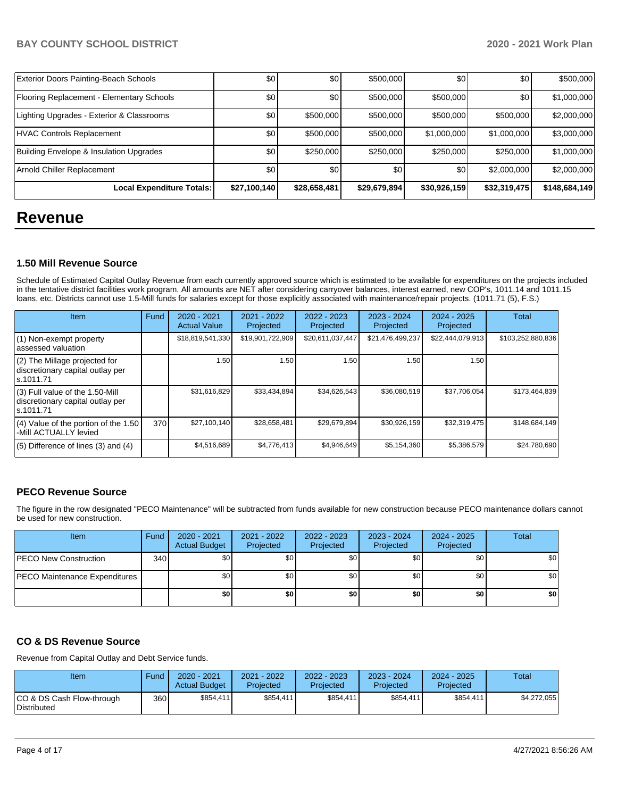| Exterior Doors Painting-Beach Schools     | \$0          | \$0          | \$500,000    | \$0          | \$0          | \$500,000     |
|-------------------------------------------|--------------|--------------|--------------|--------------|--------------|---------------|
| Flooring Replacement - Elementary Schools | \$0          | \$0          | \$500,000    | \$500,000    | \$0          | \$1,000,000   |
| Lighting Upgrades - Exterior & Classrooms | \$0          | \$500,000    | \$500,000    | \$500,000    | \$500,000    | \$2,000,000   |
| HVAC Controls Replacement                 | \$0          | \$500,000    | \$500,000    | \$1,000,000  | \$1,000,000  | \$3,000,000   |
| Building Envelope & Insulation Upgrades   | \$0          | \$250,000    | \$250,000    | \$250,000    | \$250,000    | \$1,000,000   |
| Arnold Chiller Replacement                | \$0          | \$0          | \$0          | \$0          | \$2,000,000  | \$2,000,000   |
| <b>Local Expenditure Totals:</b>          | \$27,100,140 | \$28,658,481 | \$29,679,894 | \$30,926,159 | \$32,319,475 | \$148,684,149 |

# **Revenue**

#### **1.50 Mill Revenue Source**

Schedule of Estimated Capital Outlay Revenue from each currently approved source which is estimated to be available for expenditures on the projects included in the tentative district facilities work program. All amounts are NET after considering carryover balances, interest earned, new COP's, 1011.14 and 1011.15 loans, etc. Districts cannot use 1.5-Mill funds for salaries except for those explicitly associated with maintenance/repair projects. (1011.71 (5), F.S.)

| Item                                                                                | Fund | $2020 - 2021$<br><b>Actual Value</b> | $2021 - 2022$<br>Projected | $2022 - 2023$<br>Projected | $2023 - 2024$<br>Projected | $2024 - 2025$<br>Projected | Total             |
|-------------------------------------------------------------------------------------|------|--------------------------------------|----------------------------|----------------------------|----------------------------|----------------------------|-------------------|
| (1) Non-exempt property<br>lassessed valuation                                      |      | \$18,819,541,330                     | \$19,901,722,909           | \$20,611,037,447           | \$21,476,499,237           | \$22,444,079,913           | \$103,252,880,836 |
| (2) The Millage projected for<br>discretionary capital outlay per<br>ls.1011.71     |      | 1.50                                 | 1.50                       | 1.50                       | 1.50                       | 1.50                       |                   |
| $(3)$ Full value of the 1.50-Mill<br>discretionary capital outlay per<br>ls.1011.71 |      | \$31,616,829                         | \$33,434,894               | \$34,626,543               | \$36,080,519               | \$37,706,054               | \$173,464,839     |
| (4) Value of the portion of the 1.50<br>-Mill ACTUALLY levied                       | 370I | \$27,100,140                         | \$28,658,481               | \$29,679,894               | \$30,926,159               | \$32,319,475               | \$148,684,149     |
| $(5)$ Difference of lines $(3)$ and $(4)$                                           |      | \$4,516,689                          | \$4,776,413                | \$4,946,649                | \$5,154,360                | \$5,386,579                | \$24,780,690      |

## **PECO Revenue Source**

The figure in the row designated "PECO Maintenance" will be subtracted from funds available for new construction because PECO maintenance dollars cannot be used for new construction.

| <b>Item</b>                          | Fund | $2020 - 2021$<br><b>Actual Budget</b> | 2021 - 2022<br>Projected | 2022 - 2023<br>Projected | 2023 - 2024<br>Projected | $2024 - 2025$<br>Projected | Total |
|--------------------------------------|------|---------------------------------------|--------------------------|--------------------------|--------------------------|----------------------------|-------|
| <b>IPECO New Construction</b>        | 340  | \$0 <sub>1</sub>                      | \$0                      | \$0                      | \$0 <sub>1</sub>         | \$0 <sub>1</sub>           | \$0   |
| <b>PECO Maintenance Expenditures</b> |      | \$0 <sub>1</sub>                      | \$0                      | \$0                      | \$0 <sub>1</sub>         | \$0                        | \$0   |
|                                      |      | \$0                                   | \$0                      | \$0                      | \$0                      | \$0                        | \$0   |

## **CO & DS Revenue Source**

Revenue from Capital Outlay and Debt Service funds.

| Item                                            | Fund             | 2020 - 2021<br><b>Actual Budget</b> | 2021 - 2022<br>Projected | 2022 - 2023<br>Projected | 2023 - 2024<br>Projected | $2024 - 2025$<br>Projected | Total       |
|-------------------------------------------------|------------------|-------------------------------------|--------------------------|--------------------------|--------------------------|----------------------------|-------------|
| CO & DS Cash Flow-through<br><b>Distributed</b> | 360 <sup>1</sup> | \$854,411                           | \$854.411                | \$854,411                | \$854.411                | \$854,411                  | \$4,272,055 |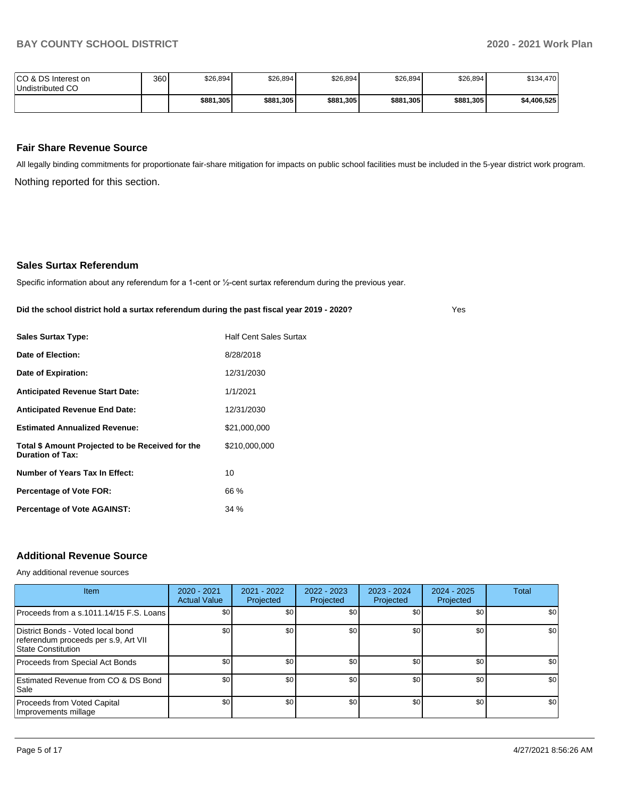Yes

| ICO & DS Interest on<br>Undistributed CO | 360 | \$26,894  | \$26,894  | \$26,894  | \$26,894  | \$26,894  | \$134,470   |
|------------------------------------------|-----|-----------|-----------|-----------|-----------|-----------|-------------|
|                                          |     | \$881,305 | \$881,305 | \$881,305 | \$881,305 | \$881,305 | \$4,406,525 |

#### **Fair Share Revenue Source**

Nothing reported for this section. All legally binding commitments for proportionate fair-share mitigation for impacts on public school facilities must be included in the 5-year district work program.

#### **Sales Surtax Referendum**

Specific information about any referendum for a 1-cent or ½-cent surtax referendum during the previous year.

**Did the school district hold a surtax referendum during the past fiscal year 2019 - 2020?**

| <b>Sales Surtax Type:</b>                                                   | <b>Half Cent Sales Surtax</b> |
|-----------------------------------------------------------------------------|-------------------------------|
| Date of Election:                                                           | 8/28/2018                     |
| Date of Expiration:                                                         | 12/31/2030                    |
| <b>Anticipated Revenue Start Date:</b>                                      | 1/1/2021                      |
| <b>Anticipated Revenue End Date:</b>                                        | 12/31/2030                    |
| <b>Estimated Annualized Revenue:</b>                                        | \$21,000,000                  |
| Total \$ Amount Projected to be Received for the<br><b>Duration of Tax:</b> | \$210,000,000                 |
| Number of Years Tax In Effect:                                              | 10                            |
| Percentage of Vote FOR:                                                     | 66 %                          |
| <b>Percentage of Vote AGAINST:</b>                                          | 34 %                          |

#### **Additional Revenue Source**

Any additional revenue sources

| Item                                                                                                   | $2020 - 2021$<br><b>Actual Value</b> | 2021 - 2022<br>Projected | $2022 - 2023$<br>Projected | $2023 - 2024$<br>Projected | $2024 - 2025$<br>Projected | <b>Total</b> |
|--------------------------------------------------------------------------------------------------------|--------------------------------------|--------------------------|----------------------------|----------------------------|----------------------------|--------------|
| Proceeds from a s.1011.14/15 F.S. Loans                                                                | \$0                                  | \$0 <sub>1</sub>         | \$0                        | \$0                        | \$0                        | \$0          |
| District Bonds - Voted local bond<br>referendum proceeds per s.9, Art VII<br><b>State Constitution</b> | \$0                                  | \$0                      | \$0                        | \$0                        | \$0                        | \$0          |
| Proceeds from Special Act Bonds                                                                        | \$0                                  | \$0                      | \$0                        | \$0                        | \$0                        | \$0          |
| Estimated Revenue from CO & DS Bond<br>l Sale                                                          | \$0                                  | \$0                      | \$0                        | \$0                        | \$0                        | \$0          |
| Proceeds from Voted Capital<br>Improvements millage                                                    | \$0                                  | \$0                      | \$0                        | \$0                        | \$0                        | \$0          |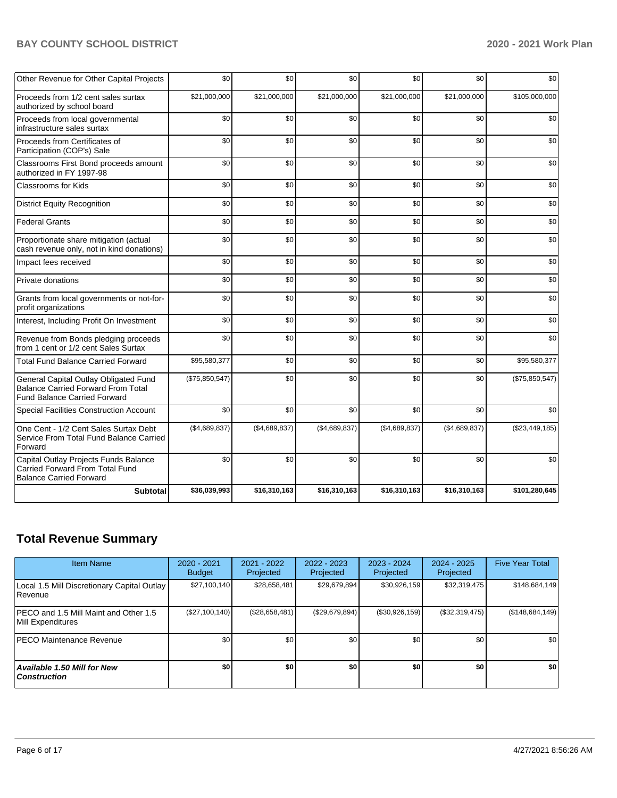# **BAY COUNTY SCHOOL DISTRICT 2020 - 2021 Work Plan**

| Other Revenue for Other Capital Projects                                                                                  | \$0            | \$0           | \$0           | \$0           | \$0           | \$0            |
|---------------------------------------------------------------------------------------------------------------------------|----------------|---------------|---------------|---------------|---------------|----------------|
| Proceeds from 1/2 cent sales surtax<br>authorized by school board                                                         | \$21,000,000   | \$21.000.000  | \$21,000,000  | \$21,000,000  | \$21,000,000  | \$105,000,000  |
| Proceeds from local governmental<br>infrastructure sales surtax                                                           | \$0            | \$0           | \$0           | \$0           | \$0           | \$0            |
| Proceeds from Certificates of<br>Participation (COP's) Sale                                                               | \$0            | \$0           | \$0           | \$0           | \$0           | \$0            |
| Classrooms First Bond proceeds amount<br>authorized in FY 1997-98                                                         | \$0            | \$0           | \$0           | \$0           | \$0           | \$0            |
| Classrooms for Kids                                                                                                       | \$0            | \$0           | \$0           | \$0           | \$0           | \$0            |
| <b>District Equity Recognition</b>                                                                                        | \$0            | \$0           | \$0           | \$0           | \$0           | \$0            |
| <b>Federal Grants</b>                                                                                                     | \$0            | \$0           | \$0           | \$0           | \$0           | \$0            |
| Proportionate share mitigation (actual<br>cash revenue only, not in kind donations)                                       | \$0            | \$0           | \$0           | \$0           | \$0           | \$0            |
| Impact fees received                                                                                                      | \$0            | \$0           | \$0           | \$0           | \$0           | \$0            |
| Private donations                                                                                                         | \$0            | \$0           | \$0           | \$0           | \$0           | \$0            |
| Grants from local governments or not-for-<br>profit organizations                                                         | \$0            | \$0           | \$0           | \$0           | \$0           | \$0            |
| Interest, Including Profit On Investment                                                                                  | \$0            | \$0           | \$0           | \$0           | \$0           | \$0            |
| Revenue from Bonds pledging proceeds<br>from 1 cent or 1/2 cent Sales Surtax                                              | \$0            | \$0           | \$0           | \$0           | \$0           | \$0            |
| <b>Total Fund Balance Carried Forward</b>                                                                                 | \$95,580,377   | \$0           | \$0           | \$0           | \$0           | \$95,580,377   |
| General Capital Outlay Obligated Fund<br><b>Balance Carried Forward From Total</b><br><b>Fund Balance Carried Forward</b> | (\$75,850,547) | \$0           | \$0           | \$0           | \$0           | (\$75,850,547) |
| Special Facilities Construction Account                                                                                   | \$0            | \$0           | \$0           | \$0           | \$0           | \$0            |
| One Cent - 1/2 Cent Sales Surtax Debt<br>Service From Total Fund Balance Carried<br>Forward                               | (\$4,689,837)  | (\$4,689,837) | (\$4,689,837) | (\$4,689,837) | (\$4,689,837) | (\$23,449,185) |
| Capital Outlay Projects Funds Balance<br><b>Carried Forward From Total Fund</b><br><b>Balance Carried Forward</b>         | \$0            | \$0           | \$0           | \$0           | \$0           | \$0            |
| <b>Subtotal</b>                                                                                                           | \$36,039,993   | \$16,310,163  | \$16,310,163  | \$16,310,163  | \$16,310,163  | \$101,280,645  |

# **Total Revenue Summary**

| <b>Item Name</b>                                              | $2020 - 2021$<br><b>Budget</b> | 2021 - 2022<br>Projected | $2022 - 2023$<br>Projected | 2023 - 2024<br>Projected | $2024 - 2025$<br>Projected | <b>Five Year Total</b> |
|---------------------------------------------------------------|--------------------------------|--------------------------|----------------------------|--------------------------|----------------------------|------------------------|
| Local 1.5 Mill Discretionary Capital Outlay<br><b>Revenue</b> | \$27,100,140                   | \$28,658,481             | \$29,679,894               | \$30,926,159             | \$32,319,475               | \$148,684,149          |
| IPECO and 1.5 Mill Maint and Other 1.5<br>Mill Expenditures   | (\$27,100,140)                 | (\$28,658,481)           | (\$29,679,894)             | (\$30,926,159)           | (S32, 319, 475)            | (\$148,684,149)        |
| <b>IPECO Maintenance Revenue</b>                              | \$0 <sub>1</sub>               | \$0 <sub>1</sub>         | \$0                        | \$0                      | \$0                        | \$0                    |
| <b>Available 1.50 Mill for New</b><br>  Construction          | \$0                            | \$O                      | \$0                        | \$0                      | \$0                        | \$0                    |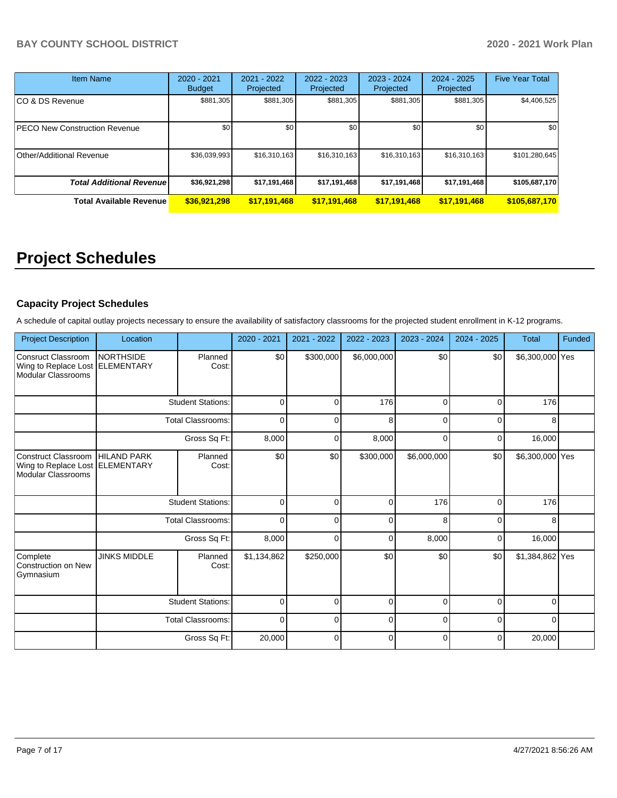| Item Name                        | $2020 - 2021$<br><b>Budget</b> | $2021 - 2022$<br>Projected | 2022 - 2023<br>Projected | 2023 - 2024<br>Projected | $2024 - 2025$<br>Projected | <b>Five Year Total</b> |
|----------------------------------|--------------------------------|----------------------------|--------------------------|--------------------------|----------------------------|------------------------|
| CO & DS Revenue                  | \$881,305                      | \$881,305                  | \$881.305                | \$881,305                | \$881,305                  | \$4,406,525            |
| PECO New Construction Revenue    | \$0                            | \$0                        | \$0                      | \$0                      | \$0                        | \$0                    |
| Other/Additional Revenue         | \$36,039,993                   | \$16,310,163               | \$16,310,163             | \$16,310,163             | \$16,310,163               | \$101,280,645          |
| <b>Total Additional Revenuel</b> | \$36,921,298                   | \$17,191,468               | \$17,191,468             | \$17,191,468             | \$17,191,468               | \$105,687,170          |
| <b>Total Available Revenue</b>   | \$36,921,298                   | \$17,191,468               | \$17,191,468             | \$17,191,468             | \$17,191,468               | \$105,687,170          |

# **Project Schedules**

### **Capacity Project Schedules**

A schedule of capital outlay projects necessary to ensure the availability of satisfactory classrooms for the projected student enrollment in K-12 programs.

| <b>Project Description</b>                                                   | Location                              |                          | 2020 - 2021 | 2021 - 2022 | 2022 - 2023 | 2023 - 2024 | 2024 - 2025 | <b>Total</b>    | Funded |
|------------------------------------------------------------------------------|---------------------------------------|--------------------------|-------------|-------------|-------------|-------------|-------------|-----------------|--------|
| Consruct Classroom<br>Wing to Replace Lost<br>Modular Classrooms             | <b>NORTHSIDE</b><br><b>ELEMENTARY</b> | Planned<br>Cost:         | \$0         | \$300,000   | \$6,000,000 | \$0         | \$0         | \$6,300,000 Yes |        |
|                                                                              |                                       | <b>Student Stations:</b> | $\mathbf 0$ | 0           | 176         | $\Omega$    | $\Omega$    | 176             |        |
|                                                                              |                                       | <b>Total Classrooms:</b> | $\Omega$    | O           | 8           | n           | $\Omega$    | 8               |        |
|                                                                              |                                       | Gross Sq Ft:             | 8,000       | $\Omega$    | 8,000       | C           | $\Omega$    | 16,000          |        |
| Construct Classroom<br>Wing to Replace Lost ELEMENTARY<br>Modular Classrooms | <b>HILAND PARK</b>                    | Planned<br>Cost:         | \$0         | \$0         | \$300,000   | \$6,000,000 | \$0         | \$6,300,000 Yes |        |
|                                                                              |                                       | <b>Student Stations:</b> | $\mathbf 0$ | 0           | 0           | 176         | $\Omega$    | 176             |        |
|                                                                              |                                       | <b>Total Classrooms:</b> | $\Omega$    | U           | $\Omega$    | 8           | $\Omega$    | 8               |        |
|                                                                              |                                       | Gross Sq Ft:             | 8,000       | $\Omega$    | 0           | 8,000       | $\Omega$    | 16,000          |        |
| Complete<br>Construction on New<br>Gymnasium                                 | <b>JINKS MIDDLE</b>                   | Planned<br>Cost:         | \$1,134,862 | \$250,000   | \$0         | \$0         | \$0         | \$1,384,862 Yes |        |
|                                                                              |                                       | <b>Student Stations:</b> | $\mathbf 0$ | 0           | 0           | $\Omega$    | $\Omega$    | $\Omega$        |        |
|                                                                              |                                       | <b>Total Classrooms:</b> |             | 0           | 0           | 0           | $\Omega$    | $\Omega$        |        |
|                                                                              |                                       | Gross Sq Ft:             | 20,000      | 0           | $\Omega$    | C           | $\Omega$    | 20,000          |        |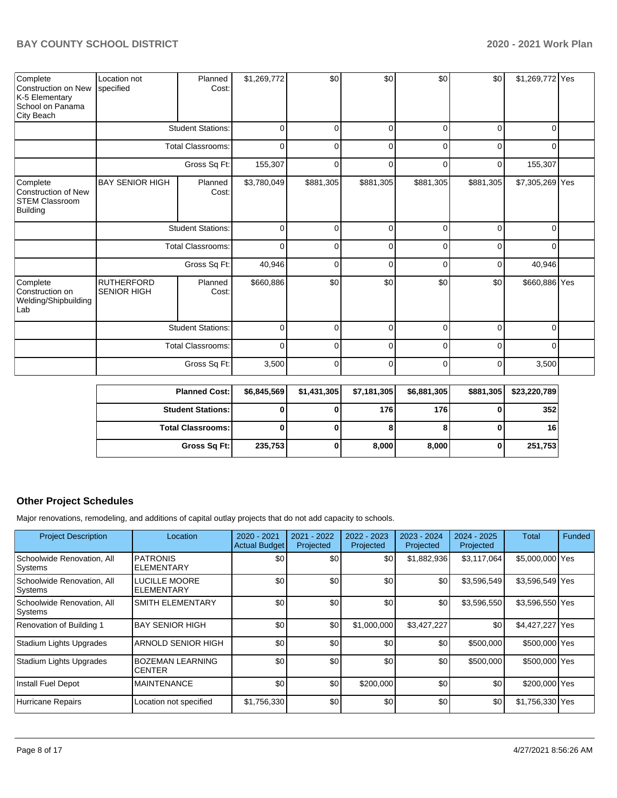| Complete<br>Construction on New<br>K-5 Elementary<br>School on Panama<br>City Beach | Location not<br>specified        | Planned<br>Cost:         | \$1,269,772 | \$0         | \$0         | \$0       | \$0       | \$1,269,772 Yes |  |
|-------------------------------------------------------------------------------------|----------------------------------|--------------------------|-------------|-------------|-------------|-----------|-----------|-----------------|--|
|                                                                                     |                                  | <b>Student Stations:</b> | 0           | $\Omega$    | $\Omega$    | $\Omega$  | $\Omega$  | $\Omega$        |  |
|                                                                                     |                                  | <b>Total Classrooms:</b> | 0           | 0           | 0           | 0         | 0         | 0               |  |
|                                                                                     |                                  | Gross Sq Ft:             | 155,307     | 0           | 0           | $\Omega$  | 0         | 155,307         |  |
| Complete<br><b>Construction of New</b><br><b>STEM Classroom</b><br><b>Building</b>  | <b>BAY SENIOR HIGH</b>           | Planned<br>Cost:         | \$3,780,049 | \$881,305   | \$881,305   | \$881,305 | \$881,305 | \$7,305,269 Yes |  |
|                                                                                     |                                  | <b>Student Stations:</b> | $\mathbf 0$ | $\mathbf 0$ | 0           | $\Omega$  | $\Omega$  | $\Omega$        |  |
|                                                                                     |                                  | <b>Total Classrooms:</b> | $\Omega$    | $\Omega$    | $\Omega$    | $\Omega$  | $\Omega$  | $\Omega$        |  |
|                                                                                     |                                  | Gross Sq Ft:             | 40,946      | $\Omega$    | $\Omega$    | $\Omega$  | $\Omega$  | 40,946          |  |
| Complete<br>Construction on<br>Welding/Shipbuilding<br>Lab                          | <b>RUTHERFORD</b><br>SENIOR HIGH | Planned<br>Cost:         | \$660,886   | \$0         | \$0         | \$0       | \$0       | \$660,886 Yes   |  |
|                                                                                     |                                  | <b>Student Stations:</b> | $\Omega$    | $\Omega$    | $\Omega$    | $\Omega$  | $\Omega$  | $\Omega$        |  |
|                                                                                     |                                  | Total Classrooms:        | $\mathbf 0$ | $\Omega$    | $\mathbf 0$ | $\Omega$  | $\Omega$  | $\Omega$        |  |
|                                                                                     |                                  | Gross Sq Ft:             | 3,500       | 0           | $\mathbf 0$ | 0         | $\Omega$  | 3,500           |  |

| <b>Planned Cost:</b>     | \$6,845,569 | \$1,431,305 | \$7,181,305 | \$6,881,305 | \$881,305 | \$23,220,789 |
|--------------------------|-------------|-------------|-------------|-------------|-----------|--------------|
| <b>Student Stations:</b> |             |             | 176         | 176 I       |           | 352          |
| <b>Total Classrooms:</b> |             |             |             | 8           |           | 16           |
| Gross Sq Ft:             | 235,753     |             | 8,000       | 8,000       |           | 251,753      |

# **Other Project Schedules**

Major renovations, remodeling, and additions of capital outlay projects that do not add capacity to schools.

| <b>Project Description</b>            | Location                             | $2020 - 2021$<br><b>Actual Budget</b> | 2021 - 2022<br>Projected | $2022 - 2023$<br>Projected | 2023 - 2024<br>Projected | 2024 - 2025<br>Projected | Total           | Funded |
|---------------------------------------|--------------------------------------|---------------------------------------|--------------------------|----------------------------|--------------------------|--------------------------|-----------------|--------|
| Schoolwide Renovation, All<br>Systems | <b>PATRONIS</b><br><b>ELEMENTARY</b> | \$0                                   | \$0                      | \$0                        | \$1,882,936              | \$3,117,064              | \$5,000,000 Yes |        |
| Schoolwide Renovation, All<br>Systems | <b>LUCILLE MOORE</b><br>ELEMENTARY   | \$0                                   | \$0                      | \$0                        | \$0                      | \$3,596,549              | \$3,596,549 Yes |        |
| Schoolwide Renovation, All<br>Systems | <b>SMITH ELEMENTARY</b>              | \$0                                   | \$0                      | \$0                        | \$0                      | \$3,596,550              | \$3,596,550 Yes |        |
| Renovation of Building 1              | <b>BAY SENIOR HIGH</b>               | \$0                                   | \$0                      | \$1,000,000                | \$3,427,227              | \$0                      | \$4,427,227 Yes |        |
| Stadium Lights Upgrades               | ARNOLD SENIOR HIGH                   | \$0                                   | \$0                      | \$0                        | \$0                      | \$500,000                | \$500,000 Yes   |        |
| Stadium Lights Upgrades               | <b>BOZEMAN LEARNING</b><br>CENTER    | \$0                                   | \$0                      | \$0                        | \$0                      | \$500,000                | \$500,000 Yes   |        |
| Install Fuel Depot                    | <b>MAINTENANCE</b>                   | \$0                                   | \$0                      | \$200,000                  | \$0                      | \$0                      | \$200,000 Yes   |        |
| <b>Hurricane Repairs</b>              | Location not specified               | \$1,756,330                           | \$0                      | \$0                        | \$0                      | \$0                      | \$1,756,330 Yes |        |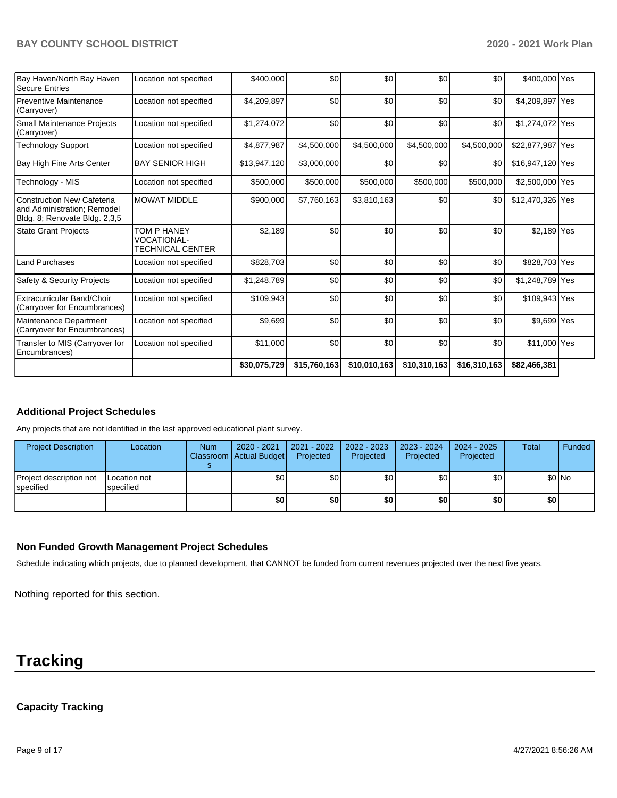#### **BAY COUNTY SCHOOL DISTRICT 2020 - 2021 Work Plan**

| Bay Haven/North Bay Haven<br><b>Secure Entries</b>                                                | Location not specified                                       | \$400,000    | \$0          | \$0          | \$0          | \$0          | \$400,000 Yes    |  |
|---------------------------------------------------------------------------------------------------|--------------------------------------------------------------|--------------|--------------|--------------|--------------|--------------|------------------|--|
| Preventive Maintenance<br>(Carryover)                                                             | Location not specified                                       | \$4,209,897  | \$0          | \$0          | \$0          | \$0          | \$4,209,897 Yes  |  |
| <b>Small Maintenance Projects</b><br>(Carryover)                                                  | Location not specified                                       | \$1,274,072  | \$0          | \$0          | \$0          | \$0          | \$1,274,072 Yes  |  |
| <b>Technology Support</b>                                                                         | Location not specified                                       | \$4,877,987  | \$4,500,000  | \$4,500,000  | \$4,500,000  | \$4,500,000  | \$22,877,987 Yes |  |
| Bay High Fine Arts Center                                                                         | <b>BAY SENIOR HIGH</b>                                       | \$13,947,120 | \$3,000,000  | \$0          | \$0          | \$0          | \$16,947,120 Yes |  |
| Technology - MIS                                                                                  | Location not specified                                       | \$500,000    | \$500,000    | \$500,000    | \$500,000    | \$500,000    | \$2,500,000 Yes  |  |
| <b>Construction New Cafeteria</b><br>and Administration; Remodel<br>Bldg. 8; Renovate Bldg. 2,3,5 | <b>MOWAT MIDDLE</b>                                          | \$900,000    | \$7,760,163  | \$3,810,163  | \$0          | \$0          | \$12,470,326 Yes |  |
| <b>State Grant Projects</b>                                                                       | TOM P HANEY<br><b>VOCATIONAL-</b><br><b>TECHNICAL CENTER</b> | \$2,189      | \$0          | \$0          | \$0          | \$0          | \$2,189 Yes      |  |
| <b>Land Purchases</b>                                                                             | Location not specified                                       | \$828,703    | \$0          | \$0          | \$0          | \$0          | \$828,703 Yes    |  |
| Safety & Security Projects                                                                        | Location not specified                                       | \$1,248,789  | \$0          | \$0          | \$0          | \$0          | \$1,248,789 Yes  |  |
| Extracurricular Band/Choir<br>(Carryover for Encumbrances)                                        | Location not specified                                       | \$109,943    | \$0          | \$0          | \$0          | \$0          | \$109,943 Yes    |  |
| Maintenance Department<br>(Carryover for Encumbrances)                                            | Location not specified                                       | \$9,699      | \$0          | \$0          | \$0          | \$0          | \$9,699 Yes      |  |
| Transfer to MIS (Carryover for<br>Encumbrances)                                                   | Location not specified                                       | \$11,000     | \$0          | \$0          | \$0          | \$0          | \$11,000 Yes     |  |
|                                                                                                   |                                                              | \$30,075,729 | \$15,760,163 | \$10,010,163 | \$10,310,163 | \$16,310,163 | \$82,466,381     |  |

## **Additional Project Schedules**

Any projects that are not identified in the last approved educational plant survey.

| <b>Project Description</b>                  | Location                  | <b>Num</b> | 2020 - 2021<br>Classroom Actual Budget | 2021 - 2022<br>Projected | $2022 - 2023$<br>Projected | 2023 - 2024<br>Projected | 2024 - 2025<br>Projected | Total | Funded  |
|---------------------------------------------|---------------------------|------------|----------------------------------------|--------------------------|----------------------------|--------------------------|--------------------------|-------|---------|
| Project description not<br><b>Specified</b> | Location not<br>specified |            | \$0                                    | \$0                      | \$0                        | \$0                      | \$0                      |       | $$0$ No |
|                                             |                           |            | \$0                                    | \$0                      | \$0                        | \$0                      | \$0                      | \$0   |         |

#### **Non Funded Growth Management Project Schedules**

Schedule indicating which projects, due to planned development, that CANNOT be funded from current revenues projected over the next five years.

Nothing reported for this section.

# **Tracking**

# **Capacity Tracking**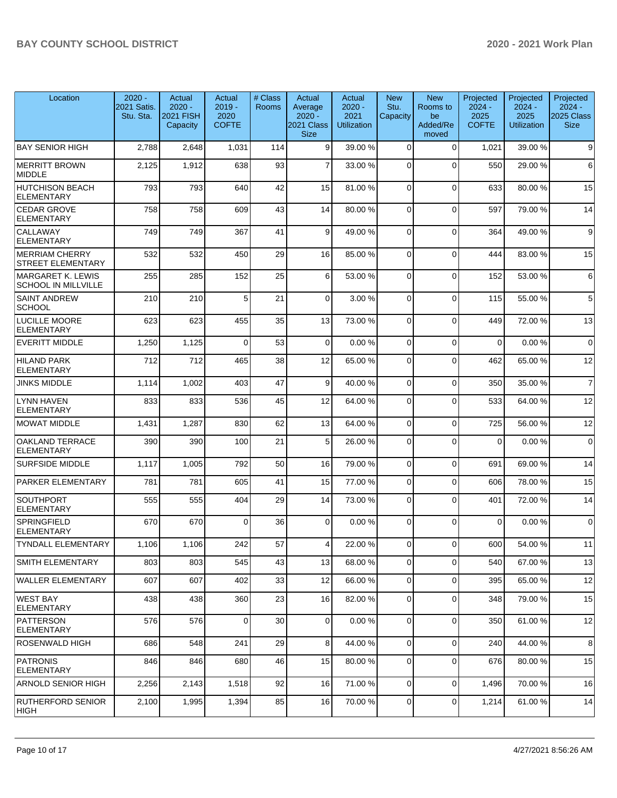| Location                                               | $2020 -$<br>2021 Satis.<br>Stu. Sta. | Actual<br>$2020 -$<br>2021 FISH<br>Capacity | Actual<br>$2019 -$<br>2020<br><b>COFTE</b> | # Class<br><b>Rooms</b> | Actual<br>Average<br>$2020 -$<br>2021 Class<br><b>Size</b> | Actual<br>$2020 -$<br>2021<br><b>Utilization</b> | <b>New</b><br>Stu.<br>Capacity | <b>New</b><br>Rooms to<br>be<br>Added/Re<br>moved | Projected<br>$2024 -$<br>2025<br><b>COFTE</b> | Projected<br>$2024 -$<br>2025<br><b>Utilization</b> | Projected<br>$2024 -$<br>2025 Class<br><b>Size</b> |
|--------------------------------------------------------|--------------------------------------|---------------------------------------------|--------------------------------------------|-------------------------|------------------------------------------------------------|--------------------------------------------------|--------------------------------|---------------------------------------------------|-----------------------------------------------|-----------------------------------------------------|----------------------------------------------------|
| <b>BAY SENIOR HIGH</b>                                 | 2,788                                | 2,648                                       | 1,031                                      | 114                     | 9                                                          | 39.00 %                                          | $\mathbf 0$                    | $\Omega$                                          | 1,021                                         | 39.00 %                                             | 9                                                  |
| MERRITT BROWN<br><b>MIDDLE</b>                         | 2,125                                | 1,912                                       | 638                                        | 93                      | $\overline{7}$                                             | 33.00 %                                          | 0                              | $\Omega$                                          | 550                                           | 29.00 %                                             | $\,6\,$                                            |
| <b>HUTCHISON BEACH</b><br><b>ELEMENTARY</b>            | 793                                  | 793                                         | 640                                        | 42                      | 15                                                         | 81.00%                                           | $\Omega$                       | $\mathbf 0$                                       | 633                                           | 80.00 %                                             | 15                                                 |
| <b>CEDAR GROVE</b><br><b>ELEMENTARY</b>                | 758                                  | 758                                         | 609                                        | 43                      | 14                                                         | 80.00%                                           | $\Omega$                       | $\Omega$                                          | 597                                           | 79.00 %                                             | 14                                                 |
| <b>CALLAWAY</b><br><b>ELEMENTARY</b>                   | 749                                  | 749                                         | 367                                        | 41                      | 9                                                          | 49.00%                                           | 0                              | $\mathbf 0$                                       | 364                                           | 49.00 %                                             | $\boldsymbol{9}$                                   |
| <b>MERRIAM CHERRY</b><br>STREET ELEMENTARY             | 532                                  | 532                                         | 450                                        | 29                      | 16                                                         | 85.00 %                                          | $\Omega$                       | $\mathbf 0$                                       | 444                                           | 83.00 %                                             | 15                                                 |
| <b>MARGARET K. LEWIS</b><br><b>SCHOOL IN MILLVILLE</b> | 255                                  | 285                                         | 152                                        | 25                      | 6                                                          | 53.00 %                                          | $\Omega$                       | $\Omega$                                          | 152                                           | 53.00 %                                             | 6                                                  |
| <b>SAINT ANDREW</b><br><b>SCHOOL</b>                   | 210                                  | 210                                         | 5                                          | 21                      | $\overline{0}$                                             | 3.00 %                                           | 0                              | $\Omega$                                          | 115                                           | 55.00 %                                             | $\,$ 5 $\,$                                        |
| <b>LUCILLE MOORE</b><br><b>ELEMENTARY</b>              | 623                                  | 623                                         | 455                                        | 35                      | 13                                                         | 73.00 %                                          | $\Omega$                       | $\mathbf 0$                                       | 449                                           | 72.00 %                                             | 13                                                 |
| <b>EVERITT MIDDLE</b>                                  | 1,250                                | 1,125                                       | $\Omega$                                   | 53                      | $\overline{0}$                                             | 0.00%                                            | $\mathbf 0$                    | $\mathbf 0$                                       | $\mathbf 0$                                   | 0.00%                                               | $\mathbf 0$                                        |
| <b>HILAND PARK</b><br><b>ELEMENTARY</b>                | 712                                  | 712                                         | 465                                        | 38                      | 12                                                         | 65.00 %                                          | $\Omega$                       | $\Omega$                                          | 462                                           | 65.00%                                              | 12                                                 |
| <b>JINKS MIDDLE</b>                                    | 1,114                                | 1,002                                       | 403                                        | 47                      | 9                                                          | 40.00%                                           | $\mathbf 0$                    | $\mathbf 0$                                       | 350                                           | 35.00 %                                             | $\overline{7}$                                     |
| <b>LYNN HAVEN</b><br><b>ELEMENTARY</b>                 | 833                                  | 833                                         | 536                                        | 45                      | 12                                                         | 64.00%                                           | 0                              | $\mathbf 0$                                       | 533                                           | 64.00%                                              | 12                                                 |
| <b>MOWAT MIDDLE</b>                                    | 1,431                                | 1,287                                       | 830                                        | 62                      | 13                                                         | 64.00%                                           | $\Omega$                       | $\mathbf 0$                                       | 725                                           | 56.00 %                                             | 12                                                 |
| OAKLAND TERRACE<br><b>ELEMENTARY</b>                   | 390                                  | 390                                         | 100                                        | 21                      | 5 <sub>5</sub>                                             | 26.00 %                                          | $\Omega$                       | $\mathbf 0$                                       | 0                                             | 0.00%                                               | $\mathbf 0$                                        |
| <b>SURFSIDE MIDDLE</b>                                 | 1,117                                | 1,005                                       | 792                                        | 50                      | 16                                                         | 79.00 %                                          | $\mathbf 0$                    | $\mathbf 0$                                       | 691                                           | 69.00 %                                             | 14                                                 |
| <b>PARKER ELEMENTARY</b>                               | 781                                  | 781                                         | 605                                        | 41                      | 15                                                         | 77.00 %                                          | $\mathbf 0$                    | $\mathbf 0$                                       | 606                                           | 78.00 %                                             | 15                                                 |
| <b>SOUTHPORT</b><br><b>ELEMENTARY</b>                  | 555                                  | 555                                         | 404                                        | 29                      | 14                                                         | 73.00 %                                          | $\mathbf 0$                    | $\Omega$                                          | 401                                           | 72.00 %                                             | 14                                                 |
| <b>SPRINGFIELD</b><br><b>ELEMENTARY</b>                | 670                                  | 670                                         | $\Omega$                                   | 36                      | $\overline{0}$                                             | 0.00%                                            | $\Omega$                       | $\Omega$                                          | $\Omega$                                      | 0.00%                                               | $\mathbf 0$                                        |
| <b>TYNDALL ELEMENTARY</b>                              | 1,106                                | 1,106                                       | 242                                        | 571                     | 4                                                          | 22.00 %                                          | υı                             | $\cup$                                            | 600                                           | 54.00 %                                             | 11                                                 |
| SMITH ELEMENTARY                                       | 803                                  | 803                                         | 545                                        | 43                      | 13                                                         | 68.00 %                                          | $\overline{0}$                 | $\mathbf 0$                                       | 540                                           | 67.00 %                                             | 13                                                 |
| WALLER ELEMENTARY                                      | 607                                  | 607                                         | 402                                        | 33                      | 12                                                         | 66.00 %                                          | $\overline{0}$                 | $\mathbf 0$                                       | 395                                           | 65.00 %                                             | 12                                                 |
| <b>WEST BAY</b><br><b>ELEMENTARY</b>                   | 438                                  | 438                                         | 360                                        | 23                      | 16                                                         | 82.00 %                                          | 0                              | $\mathbf 0$                                       | 348                                           | 79.00 %                                             | 15                                                 |
| <b>PATTERSON</b><br><b>ELEMENTARY</b>                  | 576                                  | 576                                         | $\overline{0}$                             | 30                      | $\overline{0}$                                             | 0.00%                                            | $\mathbf 0$                    | $\mathbf 0$                                       | 350                                           | 61.00 %                                             | 12                                                 |
| <b>ROSENWALD HIGH</b>                                  | 686                                  | 548                                         | 241                                        | 29                      | 8                                                          | 44.00%                                           | $\mathbf 0$                    | $\mathbf 0$                                       | 240                                           | 44.00%                                              | 8                                                  |
| PATRONIS<br><b>ELEMENTARY</b>                          | 846                                  | 846                                         | 680                                        | 46                      | 15                                                         | 80.00 %                                          | $\mathbf 0$                    | $\mathbf 0$                                       | 676                                           | 80.00 %                                             | 15                                                 |
| ARNOLD SENIOR HIGH                                     | 2,256                                | 2,143                                       | 1,518                                      | 92                      | 16                                                         | 71.00 %                                          | $\mathbf 0$                    | $\mathbf 0$                                       | 1,496                                         | 70.00 %                                             | 16                                                 |
| RUTHERFORD SENIOR<br>HIGH                              | 2,100                                | 1,995                                       | 1,394                                      | 85                      | 16                                                         | 70.00 %                                          | 0                              | 0                                                 | 1,214                                         | 61.00 %                                             | 14                                                 |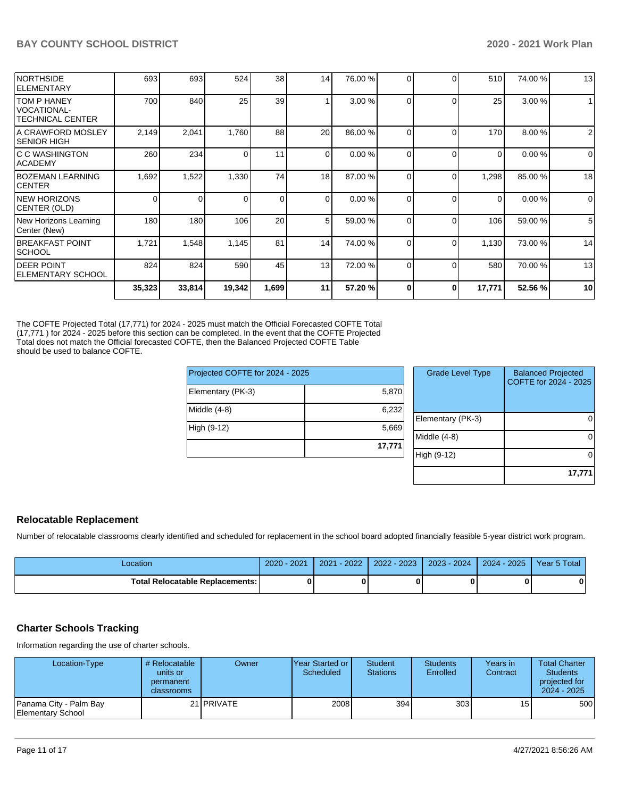| <b>NORTHSIDE</b><br><b>IELEMENTARY</b>                       | 693    | 693      | 524    | 38          | 14             | 76.00 % | 0        | $\Omega$ | 510      | 74.00 % | 13             |
|--------------------------------------------------------------|--------|----------|--------|-------------|----------------|---------|----------|----------|----------|---------|----------------|
| TOM P HANEY<br><b>VOCATIONAL-</b><br><b>TECHNICAL CENTER</b> | 700    | 840      | 25     | 39          |                | 3.00 %  | $\Omega$ | $\Omega$ | 25       | 3.00 %  | $\mathbf{1}$   |
| A CRAWFORD MOSLEY<br><b>SENIOR HIGH</b>                      | 2,149  | 2,041    | 1,760  | 88          | 20             | 86.00 % | $\Omega$ | $\Omega$ | 170      | 8.00 %  | $\overline{2}$ |
| IC C WASHINGTON<br> ACADEMY                                  | 260    | 234      |        | 11          | $\overline{0}$ | 0.00%   | $\Omega$ | $\Omega$ | $\Omega$ | 0.00%   | 0              |
| BOZEMAN LEARNING<br><b>CENTER</b>                            | 1,692  | 1,522    | 1,330  | 74          | 18             | 87.00 % | $\Omega$ | $\Omega$ | 1,298    | 85.00 % | 18             |
| <b>NEW HORIZONS</b><br>CENTER (OLD)                          | 0      | $\Omega$ |        | $\mathbf 0$ | $\Omega$       | 0.00%   | $\Omega$ | $\Omega$ | $\Omega$ | 0.00%   | $\mathbf 0$    |
| New Horizons Learning<br>Center (New)                        | 180    | 180      | 106    | 20          | 5 <sub>l</sub> | 59.00 % | $\Omega$ | $\Omega$ | 106      | 59.00 % | 5              |
| <b>BREAKFAST POINT</b><br><b>SCHOOL</b>                      | 1,721  | 1,548    | 1,145  | 81          | 14             | 74.00 % | $\Omega$ | $\Omega$ | 1,130    | 73.00 % | 14             |
| <b>DEER POINT</b><br><b>ELEMENTARY SCHOOL</b>                | 824    | 824      | 590    | 45          | 13             | 72.00 % | $\Omega$ | $\Omega$ | 580      | 70.00 % | 13             |
|                                                              | 35,323 | 33,814   | 19,342 | 1,699       | 11             | 57.20 % |          | 0        | 17,771   | 52.56 % | 10             |

The COFTE Projected Total (17,771) for 2024 - 2025 must match the Official Forecasted COFTE Total (17,771 ) for 2024 - 2025 before this section can be completed. In the event that the COFTE Projected Total does not match the Official forecasted COFTE, then the Balanced Projected COFTE Table should be used to balance COFTE.

| Projected COFTE for 2024 - 2025 |        |  | <b>Grade Level Type</b> | <b>Balanced Projected</b><br>COFTE for 2024 - 2025 |  |
|---------------------------------|--------|--|-------------------------|----------------------------------------------------|--|
| Elementary (PK-3)               | 5,870  |  |                         |                                                    |  |
| Middle (4-8)                    | 6,232  |  |                         |                                                    |  |
|                                 |        |  | Elementary (PK-3)       | 0                                                  |  |
| High (9-12)                     | 5,669  |  |                         |                                                    |  |
|                                 |        |  | Middle (4-8)            | $\overline{0}$                                     |  |
|                                 | 17,771 |  |                         |                                                    |  |
|                                 |        |  | High (9-12)             | 0                                                  |  |
|                                 |        |  |                         |                                                    |  |

## **Relocatable Replacement**

Number of relocatable classrooms clearly identified and scheduled for replacement in the school board adopted financially feasible 5-year district work program.

| .ocation                               | 2021<br>2020 | $-2022$<br>2021 | 2022 - 2023 | $2023 - 2024$ | 2024 - 2025 | Year 5 Total |
|----------------------------------------|--------------|-----------------|-------------|---------------|-------------|--------------|
| <b>Total Relocatable Replacements:</b> |              |                 |             |               |             |              |

## **Charter Schools Tracking**

Information regarding the use of charter schools.

| Location-Type                                | # Relocatable<br>units or<br>permanent<br><b>classrooms</b> | Owner             | IYear Started or I<br>Scheduled | <b>Student</b><br><b>Stations</b> | <b>Students</b><br>Enrolled | Years in<br>Contract | <b>Total Charter</b><br>Students<br>projected for<br>2024 - 2025 |
|----------------------------------------------|-------------------------------------------------------------|-------------------|---------------------------------|-----------------------------------|-----------------------------|----------------------|------------------------------------------------------------------|
| 'Panama City - Palm Bay<br>Elementary School |                                                             | 21 <b>PRIVATE</b> | 2008                            | 394                               | 303                         | 15 <sup>1</sup>      | 500                                                              |

**17,771**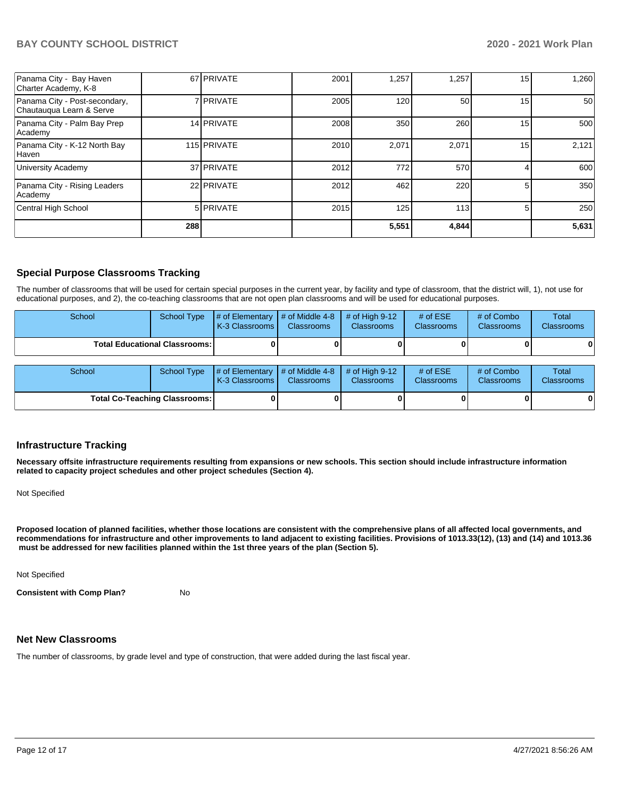| Panama City - Bay Haven<br>Charter Academy, K-8           |     | 67 PRIVATE       | 2001 | .257  | 1,257 | 15              | 1,260 |
|-----------------------------------------------------------|-----|------------------|------|-------|-------|-----------------|-------|
| Panama City - Post-secondary,<br>Chautauqua Learn & Serve |     | 7 PRIVATE        | 2005 | 120   | 50    | 15              | 50    |
| Panama City - Palm Bay Prep<br>Academy                    |     | 14 PRIVATE       | 2008 | 350   | 260   | 15 <sup>1</sup> | 500   |
| Panama City - K-12 North Bay<br>Haven                     |     | 115 PRIVATE      | 2010 | 2,071 | 2,071 | 15              | 2,121 |
| <b>University Academy</b>                                 |     | 37 PRIVATE       | 2012 | 772   | 570   |                 | 600   |
| Panama City - Rising Leaders<br>Academy                   |     | 22 PRIVATE       | 2012 | 462   | 220   | 5               | 350   |
| Central High School                                       |     | 5 <b>PRIVATE</b> | 2015 | 125   | 113   | 5               | 250   |
|                                                           | 288 |                  |      | 5,551 | 4,844 |                 | 5,631 |

## **Special Purpose Classrooms Tracking**

The number of classrooms that will be used for certain special purposes in the current year, by facility and type of classroom, that the district will, 1), not use for educational purposes, and 2), the co-teaching classrooms that are not open plan classrooms and will be used for educational purposes.

| School                               | School Type | $\parallel$ # of Elementary $\parallel$ # of Middle 4-8 $\parallel$ # of High 9-12<br><b>K-3 Classrooms</b> | <b>Classrooms</b> | <b>Classrooms</b> | # of $ESE$<br><b>Classrooms</b> | # of Combo<br><b>Classrooms</b> | Total<br><b>Classrooms</b> |
|--------------------------------------|-------------|-------------------------------------------------------------------------------------------------------------|-------------------|-------------------|---------------------------------|---------------------------------|----------------------------|
| <b>Total Educational Classrooms:</b> |             |                                                                                                             |                   |                   | 0                               |                                 |                            |

| School                               |  | School Type $\left  \frac{1}{2}$ of Elementary $\left  \frac{1}{2}$ of Middle 4-8 $\right $ # of High 9-12<br><b>K-3 Classrooms I</b> | <b>Classrooms</b> | <b>Classrooms</b> | $#$ of $ESE$<br><b>Classrooms</b> | # of Combo<br><b>Classrooms</b> | Total<br><b>Classrooms</b> |
|--------------------------------------|--|---------------------------------------------------------------------------------------------------------------------------------------|-------------------|-------------------|-----------------------------------|---------------------------------|----------------------------|
| <b>Total Co-Teaching Classrooms:</b> |  |                                                                                                                                       |                   |                   |                                   | 0                               | 01                         |

#### **Infrastructure Tracking**

**Necessary offsite infrastructure requirements resulting from expansions or new schools. This section should include infrastructure information related to capacity project schedules and other project schedules (Section 4).** 

Not Specified

**Proposed location of planned facilities, whether those locations are consistent with the comprehensive plans of all affected local governments, and recommendations for infrastructure and other improvements to land adjacent to existing facilities. Provisions of 1013.33(12), (13) and (14) and 1013.36** must be addressed for new facilities planned within the 1st three years of the plan (Section 5).

Not Specified

**Consistent with Comp Plan?** No

#### **Net New Classrooms**

The number of classrooms, by grade level and type of construction, that were added during the last fiscal year.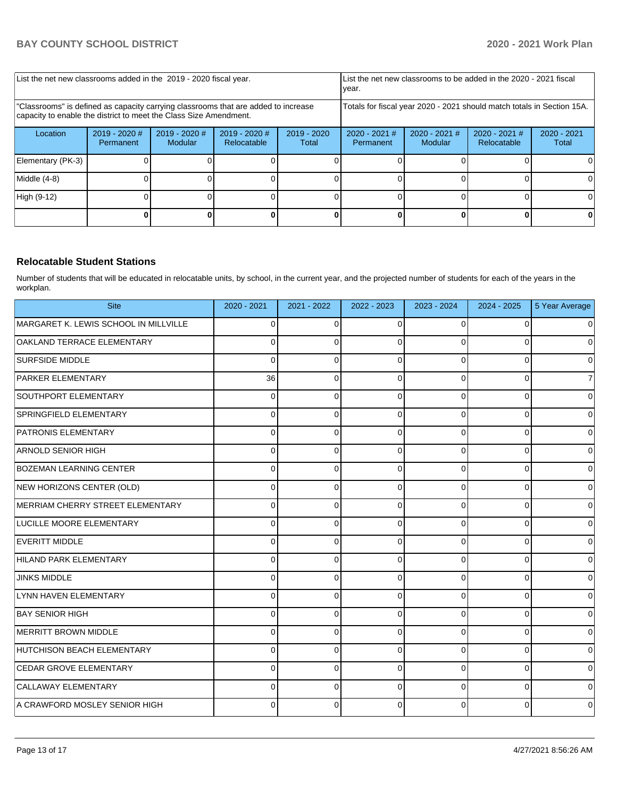| List the net new classrooms added in the 2019 - 2020 fiscal year.                                                                                       | year.                        |                            | List the net new classrooms to be added in the 2020 - 2021 fiscal |                        |                                                                        |                            |                                |                      |
|---------------------------------------------------------------------------------------------------------------------------------------------------------|------------------------------|----------------------------|-------------------------------------------------------------------|------------------------|------------------------------------------------------------------------|----------------------------|--------------------------------|----------------------|
| "Classrooms" is defined as capacity carrying classrooms that are added to increase<br>capacity to enable the district to meet the Class Size Amendment. |                              |                            |                                                                   |                        | Totals for fiscal year 2020 - 2021 should match totals in Section 15A. |                            |                                |                      |
| Location                                                                                                                                                | $2019 - 2020$ #<br>Permanent | $2019 - 2020$ #<br>Modular | 2019 - 2020 #<br>Relocatable                                      | $2019 - 2020$<br>Total | $2020 - 2021$ #<br>Permanent                                           | $2020 - 2021$ #<br>Modular | $2020 - 2021$ #<br>Relocatable | 2020 - 2021<br>Total |
| Elementary (PK-3)                                                                                                                                       |                              |                            |                                                                   |                        |                                                                        |                            |                                |                      |
| Middle (4-8)                                                                                                                                            |                              |                            |                                                                   |                        |                                                                        |                            |                                |                      |
| High (9-12)                                                                                                                                             |                              |                            |                                                                   |                        |                                                                        |                            |                                | ΩI                   |
|                                                                                                                                                         |                              |                            |                                                                   |                        |                                                                        |                            |                                |                      |

#### **Relocatable Student Stations**

Number of students that will be educated in relocatable units, by school, in the current year, and the projected number of students for each of the years in the workplan.

| <b>Site</b>                           | 2020 - 2021 | 2021 - 2022 | 2022 - 2023 | 2023 - 2024 | 2024 - 2025 | 5 Year Average |
|---------------------------------------|-------------|-------------|-------------|-------------|-------------|----------------|
| MARGARET K. LEWIS SCHOOL IN MILLVILLE | 0           | 0           | $\Omega$    | 0           | 0           | $\mathbf 0$    |
| OAKLAND TERRACE ELEMENTARY            | 0           | 0           | $\Omega$    | 0           |             | $\mathbf 0$    |
| <b>SURFSIDE MIDDLE</b>                | O           | 0           | $\Omega$    | $\Omega$    | $\Omega$    | $\mathbf 0$    |
| <b>PARKER ELEMENTARY</b>              | 36          | 0           | $\Omega$    | 0           | 0           | $\overline{7}$ |
| SOUTHPORT ELEMENTARY                  | 0           | 0           | $\Omega$    | $\Omega$    | 0           | $\pmb{0}$      |
| SPRINGFIELD ELEMENTARY                | 0           | 0           | $\Omega$    | $\Omega$    | $\Omega$    | $\mathbf 0$    |
| <b>PATRONIS ELEMENTARY</b>            | 0           | 0           | $\Omega$    | $\Omega$    | 0           | $\mathbf 0$    |
| <b>ARNOLD SENIOR HIGH</b>             |             | 0           | $\Omega$    | 0           | 0           | $\mathbf 0$    |
| <b>BOZEMAN LEARNING CENTER</b>        | 0           | 0           | $\Omega$    | $\Omega$    | 0           | $\pmb{0}$      |
| NEW HORIZONS CENTER (OLD)             | 0           | 0           | $\Omega$    | $\Omega$    | $\Omega$    | $\mathbf 0$    |
| MERRIAM CHERRY STREET ELEMENTARY      | 0           | 0           | $\Omega$    | $\Omega$    | 0           | $\mathbf 0$    |
| <b>LUCILLE MOORE ELEMENTARY</b>       | 0           | 0           | $\Omega$    | 0           | 0           | $\mathbf 0$    |
| EVERITT MIDDLE                        | 0           | 0           | $\Omega$    | 0           | 0           | $\pmb{0}$      |
| HILAND PARK ELEMENTARY                | 0           | 0           | $\Omega$    | $\Omega$    | $\Omega$    | $\mathbf 0$    |
| <b>JINKS MIDDLE</b>                   | 0           | 0           | 0           | 0           | 0           | $\mathbf 0$    |
| LYNN HAVEN ELEMENTARY                 | $\Omega$    | 0           | $\Omega$    | $\Omega$    | 0           | $\mathbf 0$    |
| <b>BAY SENIOR HIGH</b>                | 0           | 0           | $\Omega$    | 0           | $\Omega$    | $\mathbf 0$    |
| MERRITT BROWN MIDDLE                  | 0           | 0           | $\Omega$    | 0           | $\Omega$    | $\mathbf 0$    |
| HUTCHISON BEACH ELEMENTARY            | 0           | 0           | $\Omega$    | 0           | $\Omega$    | $\mathbf 0$    |
| CEDAR GROVE ELEMENTARY                | 0           | 0           | $\Omega$    | $\Omega$    | 0           | $\mathbf 0$    |
| CALLAWAY ELEMENTARY                   |             | 0           | $\Omega$    | $\Omega$    | $\Omega$    | $\mathbf 0$    |
| A CRAWFORD MOSLEY SENIOR HIGH         | 0           | 0           | $\Omega$    | 0           | $\Omega$    | $\mathbf 0$    |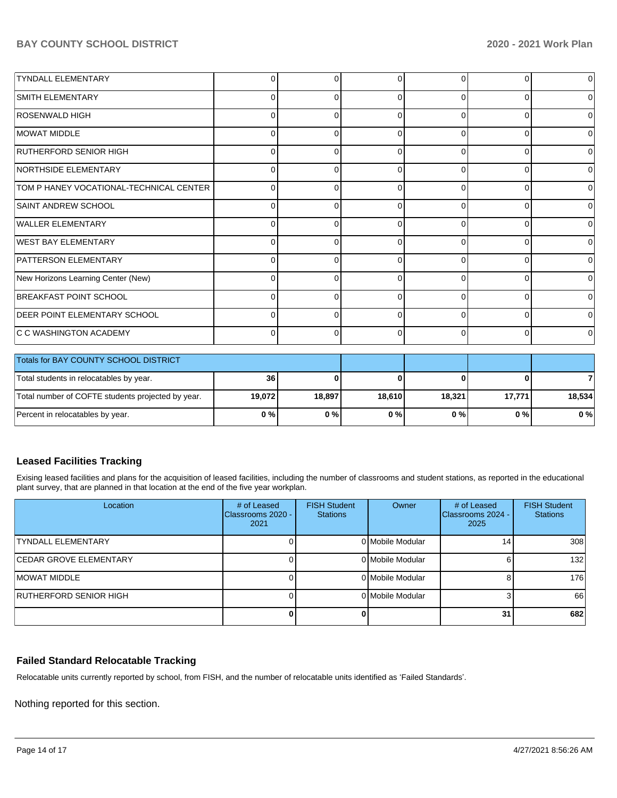| <b>TYNDALL ELEMENTARY</b>               | $\Omega$     | 0        |          | $\Omega$ | 0              | $\overline{0}$ |
|-----------------------------------------|--------------|----------|----------|----------|----------------|----------------|
| SMITH ELEMENTARY                        | 0            | $\Omega$ | ∩        | $\Omega$ | $\Omega$       | $\Omega$       |
| <b>ROSENWALD HIGH</b>                   | 0            | 0        | $\Omega$ | $\Omega$ | 0              | $\overline{0}$ |
| MOWAT MIDDLE                            | <sup>0</sup> | $\Omega$ | ∩        | 0        | $\Omega$       | $\overline{0}$ |
| <b>RUTHERFORD SENIOR HIGH</b>           | $\Omega$     | 0        | $\Omega$ | $\Omega$ | $\Omega$       | $\overline{0}$ |
| NORTHSIDE ELEMENTARY                    | U            | 0        | C        | 0        | $\Omega$       | $\overline{0}$ |
| TOM P HANEY VOCATIONAL-TECHNICAL CENTER | $\Omega$     | 0        | $\Omega$ | $\Omega$ | $\Omega$       | $\overline{0}$ |
| SAINT ANDREW SCHOOL                     | U            | 0        | C        | $\Omega$ | 0              | $\Omega$       |
| <b>WALLER ELEMENTARY</b>                | $\Omega$     | 0        | $\Omega$ | $\Omega$ | $\Omega$       | $\overline{0}$ |
| <b>WEST BAY ELEMENTARY</b>              | U            | U        | C        | $\Omega$ | 0              | $\Omega$       |
| <b>PATTERSON ELEMENTARY</b>             | $\Omega$     | 0        | $\Omega$ | $\Omega$ | $\Omega$       | $\overline{0}$ |
| New Horizons Learning Center (New)      | U            | U        |          | $\Omega$ | 0              | $\Omega$       |
| <b>BREAKFAST POINT SCHOOL</b>           | $\Omega$     | 0        | $\Omega$ | $\Omega$ | $\overline{0}$ | $\overline{0}$ |
| <b>DEER POINT ELEMENTARY SCHOOL</b>     | ∩            | U        |          | $\Omega$ | $\Omega$       | $\overline{0}$ |
| C C WASHINGTON ACADEMY                  |              | 0        |          | 0        | 0              | $\overline{0}$ |

| Totals for BAY COUNTY SCHOOL DISTRICT             |         |        |        |        |        |        |
|---------------------------------------------------|---------|--------|--------|--------|--------|--------|
| Total students in relocatables by year.           | 36      |        |        |        |        |        |
| Total number of COFTE students projected by year. | 19.0721 | 18,897 | 18,610 | 18,321 | 17,771 | 18.534 |
| Percent in relocatables by year.                  | 0%      | 0%     | 0 % I  | 0%     | 0%     | $0\%$  |

## **Leased Facilities Tracking**

Exising leased facilities and plans for the acquisition of leased facilities, including the number of classrooms and student stations, as reported in the educational plant survey, that are planned in that location at the end of the five year workplan.

| Location                       | # of Leased<br>Classrooms 2020 -<br>2021 | <b>FISH Student</b><br><b>Stations</b> | Owner            | # of Leased<br>Classrooms 2024 -<br>2025 | <b>FISH Student</b><br><b>Stations</b> |
|--------------------------------|------------------------------------------|----------------------------------------|------------------|------------------------------------------|----------------------------------------|
| <b>TYNDALL ELEMENTARY</b>      |                                          |                                        | 0 Mobile Modular | 14                                       | 308                                    |
| <b>ICEDAR GROVE ELEMENTARY</b> |                                          |                                        | 0 Mobile Modular | 6                                        | 132                                    |
| IMOWAT MIDDLE                  |                                          |                                        | 0 Mobile Modular | 8                                        | 176                                    |
| RUTHERFORD SENIOR HIGH         |                                          |                                        | 0 Mobile Modular |                                          | 66                                     |
|                                |                                          |                                        |                  | 31                                       | 682                                    |

# **Failed Standard Relocatable Tracking**

Relocatable units currently reported by school, from FISH, and the number of relocatable units identified as 'Failed Standards'.

Nothing reported for this section.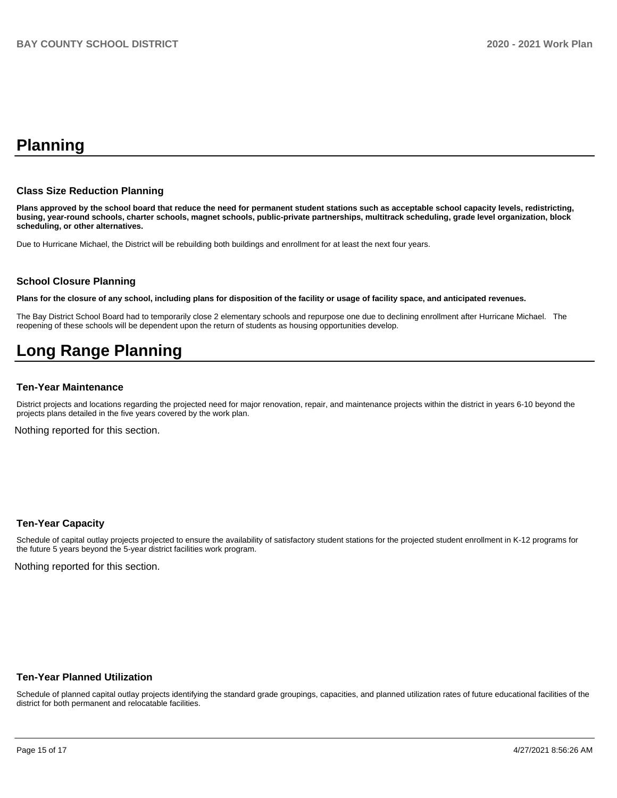# **Planning**

#### **Class Size Reduction Planning**

**Plans approved by the school board that reduce the need for permanent student stations such as acceptable school capacity levels, redistricting, busing, year-round schools, charter schools, magnet schools, public-private partnerships, multitrack scheduling, grade level organization, block scheduling, or other alternatives.**

Due to Hurricane Michael, the District will be rebuilding both buildings and enrollment for at least the next four years.

#### **School Closure Planning**

**Plans for the closure of any school, including plans for disposition of the facility or usage of facility space, and anticipated revenues.** 

The Bay District School Board had to temporarily close 2 elementary schools and repurpose one due to declining enrollment after Hurricane Michael. The reopening of these schools will be dependent upon the return of students as housing opportunities develop.

# **Long Range Planning**

#### **Ten-Year Maintenance**

District projects and locations regarding the projected need for major renovation, repair, and maintenance projects within the district in years 6-10 beyond the projects plans detailed in the five years covered by the work plan.

Nothing reported for this section.

#### **Ten-Year Capacity**

Schedule of capital outlay projects projected to ensure the availability of satisfactory student stations for the projected student enrollment in K-12 programs for the future 5 years beyond the 5-year district facilities work program.

Nothing reported for this section.

#### **Ten-Year Planned Utilization**

Schedule of planned capital outlay projects identifying the standard grade groupings, capacities, and planned utilization rates of future educational facilities of the district for both permanent and relocatable facilities.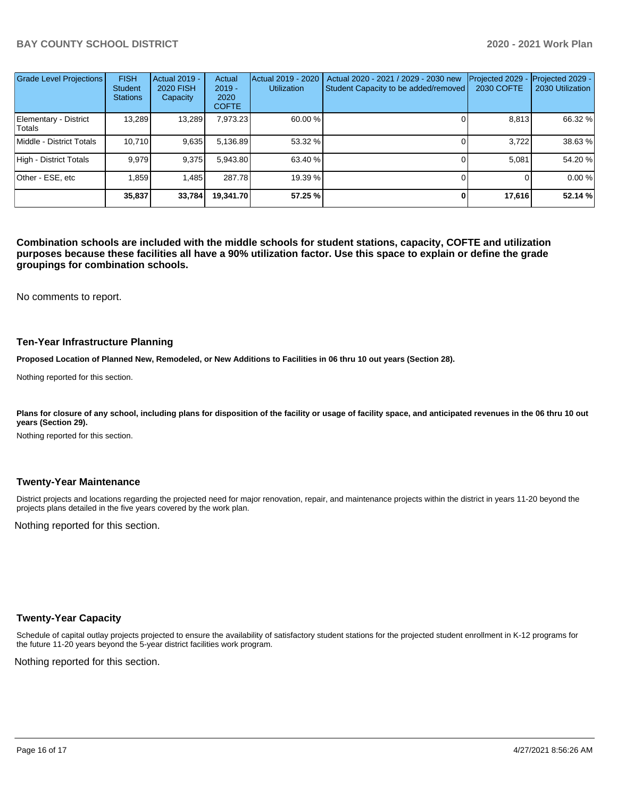| <b>Grade Level Projections</b>  | <b>FISH</b><br><b>Student</b><br><b>Stations</b> | <b>Actual 2019 -</b><br><b>2020 FISH</b><br>Capacity | Actual<br>$2019 -$<br>2020<br><b>COFTE</b> | Actual 2019 - 2020<br><b>Utilization</b> | Actual 2020 - 2021 / 2029 - 2030 new<br>Student Capacity to be added/removed | Projected 2029<br>2030 COFTE | Projected 2029 -<br>2030 Utilization |
|---------------------------------|--------------------------------------------------|------------------------------------------------------|--------------------------------------------|------------------------------------------|------------------------------------------------------------------------------|------------------------------|--------------------------------------|
| Elementary - District<br>Totals | 13,289                                           | 13,289                                               | 7,973.23                                   | 60.00 %                                  |                                                                              | 8,813                        | 66.32 %                              |
| Middle - District Totals        | 10.710                                           | 9,635                                                | 5,136.89                                   | 53.32 %                                  |                                                                              | 3.722                        | 38.63 %                              |
| High - District Totals          | 9.979                                            | 9.375                                                | 5,943.80                                   | 63.40 %                                  |                                                                              | 5.081                        | 54.20 %                              |
| Other - ESE, etc                | 1.859                                            | 1.485                                                | 287.78                                     | 19.39 %                                  |                                                                              |                              | 0.00 %                               |
|                                 | 35,837                                           | 33,784                                               | 19.341.70                                  | 57.25 %                                  | 0                                                                            | 17,616                       | 52.14 %                              |

**Combination schools are included with the middle schools for student stations, capacity, COFTE and utilization purposes because these facilities all have a 90% utilization factor. Use this space to explain or define the grade groupings for combination schools.** 

No comments to report.

#### **Ten-Year Infrastructure Planning**

**Proposed Location of Planned New, Remodeled, or New Additions to Facilities in 06 thru 10 out years (Section 28).**

Nothing reported for this section.

Plans for closure of any school, including plans for disposition of the facility or usage of facility space, and anticipated revenues in the 06 thru 10 out **years (Section 29).**

Nothing reported for this section.

#### **Twenty-Year Maintenance**

District projects and locations regarding the projected need for major renovation, repair, and maintenance projects within the district in years 11-20 beyond the projects plans detailed in the five years covered by the work plan.

Nothing reported for this section.

#### **Twenty-Year Capacity**

Schedule of capital outlay projects projected to ensure the availability of satisfactory student stations for the projected student enrollment in K-12 programs for the future 11-20 years beyond the 5-year district facilities work program.

Nothing reported for this section.